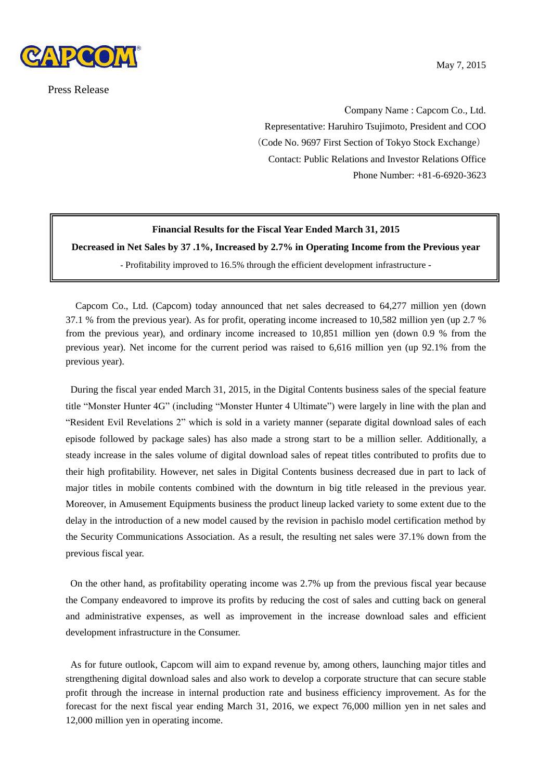

Press Release

Company Name : Capcom Co., Ltd. Representative: Haruhiro Tsujimoto, President and COO (Code No. 9697 First Section of Tokyo Stock Exchange) Contact: Public Relations and Investor Relations Office Phone Number: +81-6-6920-3623

### **Financial Results for the Fiscal Year Ended March 31, 2015**

**Decreased in Net Sales by 37 .1%, Increased by 2.7% in Operating Income from the Previous year**

**-** Profitability improved to 16.5% through the efficient development infrastructure **-**

Capcom Co., Ltd. (Capcom) today announced that net sales decreased to 64,277 million yen (down 37.1 % from the previous year). As for profit, operating income increased to 10,582 million yen (up 2.7 % from the previous year), and ordinary income increased to 10,851 million yen (down 0.9 % from the previous year). Net income for the current period was raised to 6,616 million yen (up 92.1% from the previous year).

During the fiscal year ended March 31, 2015, in the Digital Contents business sales of the special feature title "Monster Hunter 4G" (including "Monster Hunter 4 Ultimate") were largely in line with the plan and "Resident Evil Revelations 2" which is sold in a variety manner (separate digital download sales of each episode followed by package sales) has also made a strong start to be a million seller. Additionally, a steady increase in the sales volume of digital download sales of repeat titles contributed to profits due to their high profitability. However, net sales in Digital Contents business decreased due in part to lack of major titles in mobile contents combined with the downturn in big title released in the previous year. Moreover, in Amusement Equipments business the product lineup lacked variety to some extent due to the delay in the introduction of a new model caused by the revision in pachislo model certification method by the Security Communications Association. As a result, the resulting net sales were 37.1% down from the previous fiscal year.

On the other hand, as profitability operating income was 2.7% up from the previous fiscal year because the Company endeavored to improve its profits by reducing the cost of sales and cutting back on general and administrative expenses, as well as improvement in the increase download sales and efficient development infrastructure in the Consumer.

As for future outlook, Capcom will aim to expand revenue by, among others, launching major titles and strengthening digital download sales and also work to develop a corporate structure that can secure stable profit through the increase in internal production rate and business efficiency improvement. As for the forecast for the next fiscal year ending March 31, 2016, we expect 76,000 million yen in net sales and 12,000 million yen in operating income.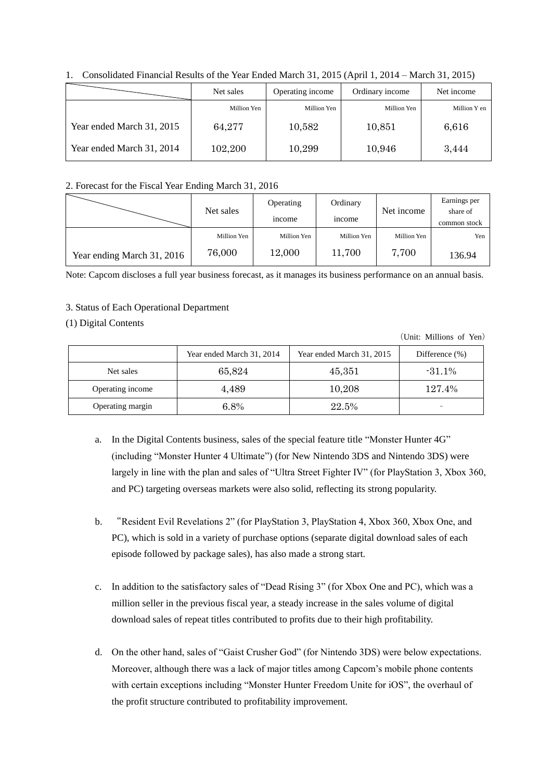|                           | Net sales   | Operating income | Ordinary income | Net income   |
|---------------------------|-------------|------------------|-----------------|--------------|
|                           | Million Yen | Million Yen      | Million Yen     | Million Y en |
| Year ended March 31, 2015 | 64,277      | 10,582           | 10.851          | 6.616        |
| Year ended March 31, 2014 | 102,200     | 10,299           | 10,946          | 3.444        |

1. Consolidated Financial Results of the Year Ended March 31, 2015 (April 1, 2014 – March 31, 2015)

#### 2. Forecast for the Fiscal Year Ending March 31, 2016

|                            | Net sales   | Operating     |               | Ordinary<br>Net income |                          |
|----------------------------|-------------|---------------|---------------|------------------------|--------------------------|
|                            |             | <i>n</i> come | <i>n</i> come |                        | share of<br>common stock |
|                            | Million Yen | Million Yen   | Million Yen   | Million Yen            | Yen                      |
| Year ending March 31, 2016 | 76,000      | 12,000        | 11,700        | 7,700                  | 136.94                   |

Note: Capcom discloses a full year business forecast, as it manages its business performance on an annual basis.

## 3. Status of Each Operational Department

### (1) Digital Contents

(Unit: Millions of Yen)

|                  | Year ended March 31, 2014 | Year ended March 31, 2015 | Difference $(\%)$ |
|------------------|---------------------------|---------------------------|-------------------|
| Net sales        | 65,824                    | 45,351                    | $-31.1\%$         |
| Operating income | 4.489                     | 10,208                    | 127.4%            |
| Operating margin | $6.8\%$                   | 22.5%                     |                   |

- a. In the Digital Contents business, sales of the special feature title "Monster Hunter 4G" (including "Monster Hunter 4 Ultimate") (for New Nintendo 3DS and Nintendo 3DS) were largely in line with the plan and sales of "Ultra Street Fighter IV" (for PlayStation 3, Xbox 360, and PC) targeting overseas markets were also solid, reflecting its strong popularity.
- b. "Resident Evil Revelations 2" (for PlayStation 3, PlayStation 4, Xbox 360, Xbox One, and PC), which is sold in a variety of purchase options (separate digital download sales of each episode followed by package sales), has also made a strong start.
- c. In addition to the satisfactory sales of "Dead Rising 3" (for Xbox One and PC), which was a million seller in the previous fiscal year, a steady increase in the sales volume of digital download sales of repeat titles contributed to profits due to their high profitability.
- d. On the other hand, sales of "Gaist Crusher God" (for Nintendo 3DS) were below expectations. Moreover, although there was a lack of major titles among Capcom's mobile phone contents with certain exceptions including "Monster Hunter Freedom Unite for iOS", the overhaul of the profit structure contributed to profitability improvement.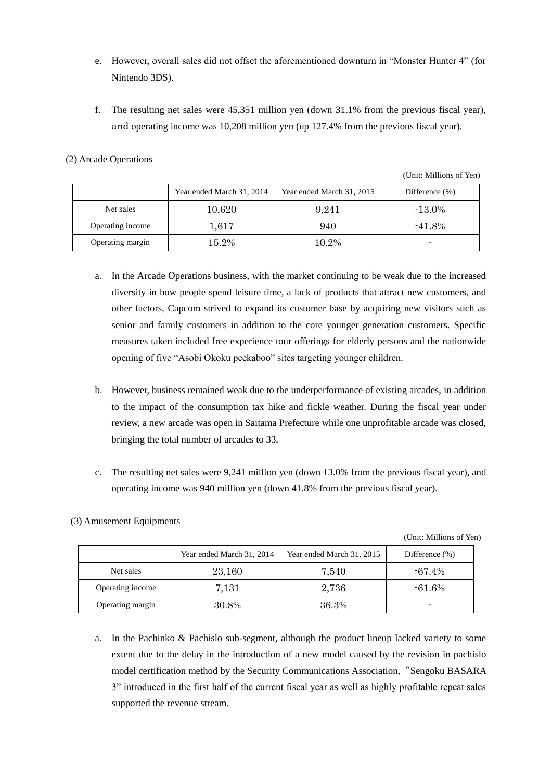- e. However, overall sales did not offset the aforementioned downturn in "Monster Hunter 4" (for Nintendo 3DS).
- f. The resulting net sales were 45,351 million yen (down 31.1% from the previous fiscal year), and operating income was 10,208 million yen (up 127.4% from the previous fiscal year).

### (2) Arcade Operations

(Unit: Millions of Yen)

|                  | Year ended March 31, 2014 | Year ended March 31, 2015 | Difference $(\% )$ |
|------------------|---------------------------|---------------------------|--------------------|
| Net sales        | 10,620                    | 9,241                     | $-13.0\%$          |
| Operating income | 1.617                     | 940                       | $-41.8%$           |
| Operating margin | 15.2%                     | 10.2%                     |                    |

- a. In the Arcade Operations business, with the market continuing to be weak due to the increased diversity in how people spend leisure time, a lack of products that attract new customers, and other factors, Capcom strived to expand its customer base by acquiring new visitors such as senior and family customers in addition to the core younger generation customers. Specific measures taken included free experience tour offerings for elderly persons and the nationwide opening of five "Asobi Okoku peekaboo" sites targeting younger children.
- b. However, business remained weak due to the underperformance of existing arcades, in addition to the impact of the consumption tax hike and fickle weather. During the fiscal year under review, a new arcade was open in Saitama Prefecture while one unprofitable arcade was closed, bringing the total number of arcades to 33.
- c. The resulting net sales were 9,241 million yen (down 13.0% from the previous fiscal year), and operating income was 940 million yen (down 41.8% from the previous fiscal year).

# (3) Amusement Equipments

(Unit: Millions of Yen)

|                  | Year ended March 31, 2014 | Year ended March 31, 2015 | Difference $(\% )$ |
|------------------|---------------------------|---------------------------|--------------------|
| Net sales        | 23,160                    | 7,540                     | $-67.4\%$          |
| Operating income | 7,131                     | 2,736                     | $-61.6\%$          |
| Operating margin | 30.8%                     | 36.3%                     | -                  |

a. In the Pachinko & Pachislo sub-segment, although the product lineup lacked variety to some extent due to the delay in the introduction of a new model caused by the revision in pachislo model certification method by the Security Communications Association, "Sengoku BASARA 3" introduced in the first half of the current fiscal year as well as highly profitable repeat sales supported the revenue stream.